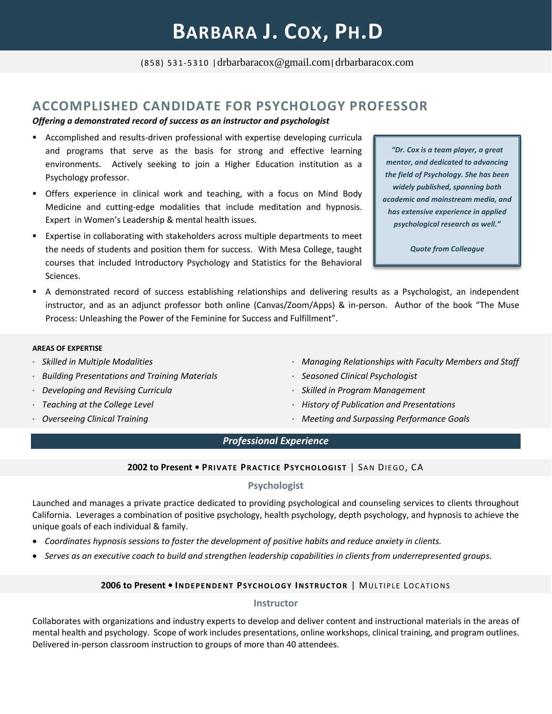(858) 531-5310 |drbarbaracox@gmail.com|drbarbaracox.com

# **ACCOMPLISHED CANDIDATE FOR PSYCHOLOGY PROFESSOR**

#### *Offering a demonstrated record of success as an instructor and psychologist*

- Accomplished and results-driven professional with expertise developing curricula and programs that serve as the basis for strong and effective learning environments. Actively seeking to join a Higher Education institution as a Psychology professor.
- **•** Offers experience in clinical work and teaching, with a focus on Mind Body Medicine and cutting-edge modalities that include meditation and hypnosis. Expert in Women's Leadership & mental health issues.
- **EXPERTIME:** Expertise in collaborating with stakeholders across multiple departments to meet the needs of students and position them for success. With Mesa College, taught courses that included Introductory Psychology and Statistics for the Behavioral Sciences.
- A demonstrated record of success establishing relationships and delivering results as a Psychologist, an independent instructor, and as an adjunct professor both online (Canvas/Zoom/Apps) & in-person. Author of the book "The Muse Process: Unleashing the Power of the Feminine for Success and Fulfillment".

#### **AREAS OF EXPERTISE**

- *Skilled in Multiple Modalities*
- *Building Presentations and Training Materials*
- *Developing and Revising Curricula*
- *Teaching at the College Level*
- *Overseeing Clinical Training*
- *Managing Relationships with Faculty Members and Staff*
- *Seasoned Clinical Psychologist*
- *Skilled in Program Management*
- *History of Publication and Presentations*
- *Meeting and Surpassing Performance Goals*

# *Professional Experience*

#### **2002 to Present • PRIVA TE PR ACT ICE PSYC HOLOGI S T** | SA N DIE GO, CA

### **Psychologist**

Launched and manages a private practice dedicated to providing psychological and counseling services to clients throughout California. Leverages a combination of positive psychology, health psychology, depth psychology, and hypnosis to achieve the unique goals of each individual & family.

- *Coordinates hypnosis sessions to foster the development of positive habits and reduce anxiety in clients.*
- *Serves as an executive coach to build and strengthen leadership capabilities in clients from underrepresented groups.*

### **2006 to Present • INDEPE NDE NT PSYC HOLOGY IN ST RUCTO R** | MULTIPLE LO C ATIO NS

#### **Instructor**

Collaborates with organizations and industry experts to develop and deliver content and instructional materials in the areas of mental health and psychology. Scope of work includes presentations, online workshops, clinical training, and program outlines. Delivered in-person classroom instruction to groups of more than 40 attendees.

*"Dr. Cox is a team player, a great mentor, and dedicated to advancing the field of Psychology. She has been widely published, spanning both academic and mainstream media, and has extensive experience in applied psychological research as well."*

*Quote from Colleague*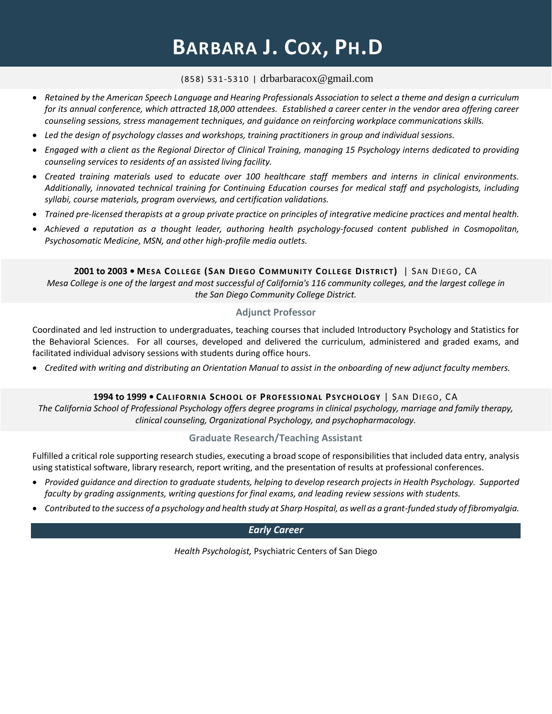# **BARBARA J. COX, PH.D**

## (858) 531-5310 | drbarbaracox@gmail.com

- *Retained by the American Speech Language and Hearing Professionals Association to select a theme and design a curriculum for its annual conference, which attracted 18,000 attendees. Established a career center in the vendor area offering career counseling sessions, stress management techniques, and guidance on reinforcing workplace communications skills.*
- *Led the design of psychology classes and workshops, training practitioners in group and individual sessions.*
- *Engaged with a client as the Regional Director of Clinical Training, managing 15 Psychology interns dedicated to providing counseling services to residents of an assisted living facility.*
- *Created training materials used to educate over 100 healthcare staff members and interns in clinical environments. Additionally, innovated technical training for Continuing Education courses for medical staff and psychologists, including syllabi, course materials, program overviews, and certification validations.*
- *Trained pre-licensed therapists at a group private practice on principles of integrative medicine practices and mental health.*
- *Achieved a reputation as a thought leader, authoring health psychology-focused content published in Cosmopolitan, Psychosomatic Medicine, MSN, and other high-profile media outlets.*

**2001 to 2003 • MESA COL LEGE (SAN DIEGO COMMUNI TY COLLEGE DI ST RIC T)** | SAN DIEGO, CA

*Mesa College is one of the largest and most successful of California's 116 community colleges, and the largest college in the San Diego Community College District.*

## **Adjunct Professor**

Coordinated and led instruction to undergraduates, teaching courses that included Introductory Psychology and Statistics for the Behavioral Sciences. For all courses, developed and delivered the curriculum, administered and graded exams, and facilitated individual advisory sessions with students during office hours.

• *Credited with writing and distributing an Orientation Manual to assist in the onboarding of new adjunct faculty members.*

# **1994 to 1999 • CALIFO RN I A SCHO OL O F PROFE S SIO N AL PSYC HOLOGY** | SAN DIEGO, CA

*The California School of Professional Psychology offers degree programs in clinical psychology, marriage and family therapy, clinical counseling, Organizational Psychology, and psychopharmacology.*

# **Graduate Research/Teaching Assistant**

Fulfilled a critical role supporting research studies, executing a broad scope of responsibilities that included data entry, analysis using statistical software, library research, report writing, and the presentation of results at professional conferences.

- *Provided guidance and direction to graduate students, helping to develop research projects in Health Psychology. Supported faculty by grading assignments, writing questions for final exams, and leading review sessions with students.*
- *Contributed to the success of a psychology and health study at Sharp Hospital, as well as a grant-funded study of fibromyalgia.*

# *Early Career*

*Health Psychologist,* Psychiatric Centers of San Diego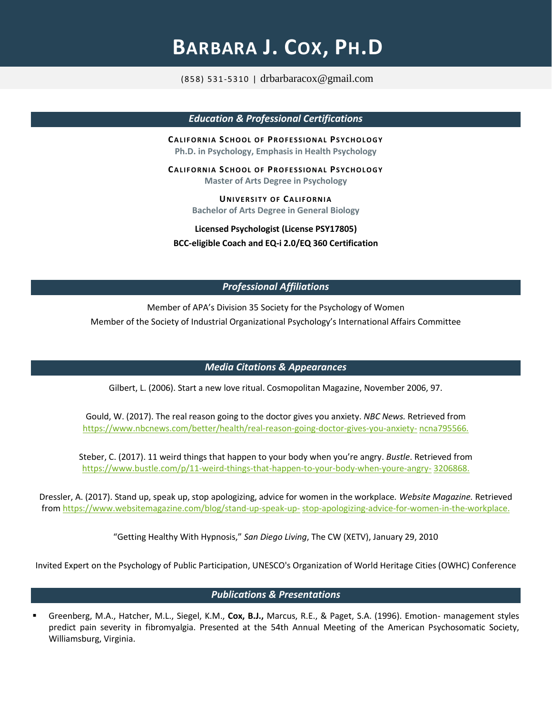# **BARBARA J. COX, PH.D**

(858) 531-5310 | drbarbaracox@gmail.com

*Education & Professional Certifications*

**CALIF ORN IA SC H OOL OF PR OF E S S ION AL PS Y C H OLO GY Ph.D. in Psychology, Emphasis in Health Psychology**

**CALIF ORN IA SC H OOL OF PR OF E S S ION AL PS Y C H OLO GY Master of Arts Degree in Psychology**

> **UNIVERSITY OF CALIFORNIA Bachelor of Arts Degree in General Biology**

**Licensed Psychologist (License PSY17805) BCC-eligible Coach and EQ-i 2.0/EQ 360 Certification**

# *Professional Affiliations*

Member of APA's Division 35 Society for the Psychology of Women Member of the Society of Industrial Organizational Psychology's International Affairs Committee

### *Media Citations & Appearances*

Gilbert, L. (2006). Start a new love ritual. Cosmopolitan Magazine, November 2006, 97.

Gould, W. (2017). The real reason going to the doctor gives you anxiety. *NBC News.* Retrieved from [https://www.nbcnews.com/better/health/real-reason-going-doctor-gives-you-anxiety-](https://www.nbcnews.com/better/health/real-reason-going-doctor-gives-you-anxiety-ncna795566) [ncna795566](https://www.nbcnews.com/better/health/real-reason-going-doctor-gives-you-anxiety-ncna795566)*.*

Steber, C. (2017). 11 weird things that happen to your body when you're angry. *Bustle*. Retrieved from [https://www.bustle.com/p/11-weird-things-that-happen-to-your-body-when-youre-angry-](https://www.bustle.com/p/11-weird-things-that-happen-to-your-body-when-youre-angry-3206868) [3206868.](https://www.bustle.com/p/11-weird-things-that-happen-to-your-body-when-youre-angry-3206868)

Dressler, A. (2017). Stand up, speak up, stop apologizing, advice for women in the workplace*. Website Magazine.* Retrieved fro[m https://www.websitemagazine.com/blog/stand-up-speak-up-](https://www.websitemagazine.com/blog/stand-up-speak-up-stop-apologizing-advice-for-women-in-the-workplace) [stop-apologizing-advice-for-women-in-the-workplace.](https://www.websitemagazine.com/blog/stand-up-speak-up-stop-apologizing-advice-for-women-in-the-workplace)

"Getting Healthy With Hypnosis," *San Diego Living*, The CW (XETV), January 29, 2010

Invited Expert on the Psychology of Public Participation, UNESCO's Organization of World Heritage Cities (OWHC) Conference

### *Publications & Presentations*

Greenberg, M.A., Hatcher, M.L., Siegel, K.M., Cox, B.J., Marcus, R.E., & Paget, S.A. (1996). Emotion- management styles predict pain severity in fibromyalgia. Presented at the 54th Annual Meeting of the American Psychosomatic Society, Williamsburg, Virginia.